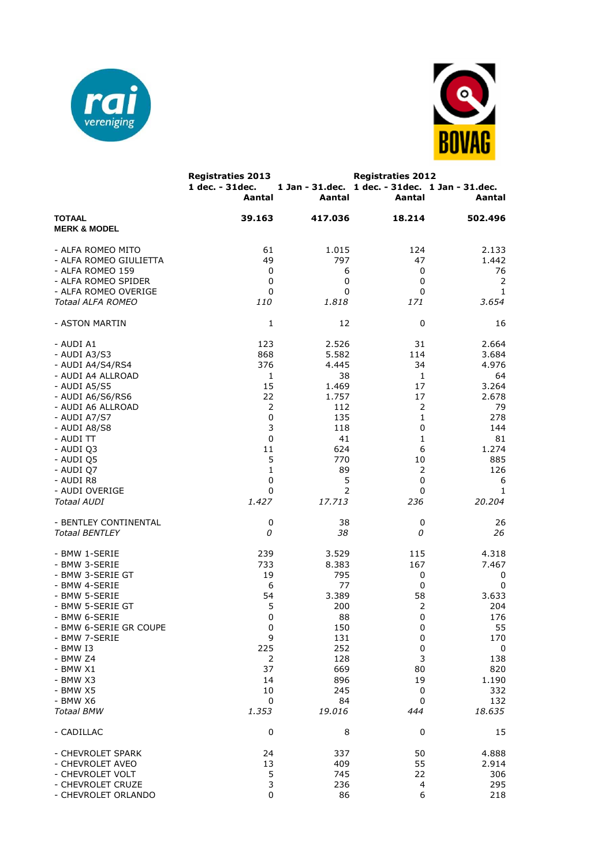



|                                              | <b>Registraties 2013</b><br>1 dec. - 31 dec.<br>Aantal | 1 Jan - 31.dec.<br>Aantal       | <b>Registraties 2012</b><br>1 dec. - 31 dec. 1 Jan - 31 dec.<br>Aantal | Aantal                   |
|----------------------------------------------|--------------------------------------------------------|---------------------------------|------------------------------------------------------------------------|--------------------------|
| <b>TOTAAL</b><br><b>MERK &amp; MODEL</b>     | 39.163                                                 | 417.036                         | 18.214                                                                 | 502.496                  |
| - ALFA ROMEO MITO                            | 61                                                     | 1.015                           | 124                                                                    | 2.133                    |
| - ALFA ROMEO GIULIETTA                       | 49                                                     | 797                             | 47                                                                     | 1.442                    |
| - ALFA ROMEO 159                             | 0                                                      | 6                               | 0                                                                      | 76                       |
| - ALFA ROMEO SPIDER                          | 0                                                      | 0                               | 0                                                                      | 2                        |
| - ALFA ROMEO OVERIGE                         | 0                                                      | 0                               | 0                                                                      | 1                        |
| Totaal ALFA ROMEO                            | 110                                                    | 1.818                           | 171                                                                    | 3.654                    |
| - ASTON MARTIN                               | 1                                                      | 12                              | 0                                                                      | 16                       |
| - AUDI A1                                    | 123                                                    | 2.526                           | 31                                                                     | 2.664                    |
| - AUDI A3/S3                                 | 868                                                    | 5.582                           | 114                                                                    | 3.684                    |
| - AUDI A4/S4/RS4                             | 376                                                    | 4.445                           | 34                                                                     | 4.976                    |
| - AUDI A4 ALLROAD                            | 1                                                      | 38                              | 1                                                                      | 64                       |
| - AUDI A5/S5                                 | 15                                                     | 1.469                           | 17                                                                     | 3.264                    |
| - AUDI A6/S6/RS6                             | 22                                                     | 1.757                           | 17                                                                     | 2.678                    |
| - AUDI A6 ALLROAD                            | 2                                                      | 112                             | $\overline{2}$                                                         | 79                       |
| - AUDI A7/S7                                 | $\mathbf 0$                                            | 135                             | 1                                                                      | 278                      |
| - AUDI A8/S8                                 | 3                                                      | 118                             | 0                                                                      | 144                      |
| - AUDI TT                                    | $\mathbf 0$                                            | 41                              | 1                                                                      | 81                       |
| - AUDI Q3                                    | 11                                                     | 624                             | 6                                                                      | 1.274                    |
| - AUDI Q5                                    | 5                                                      | 770                             | 10                                                                     | 885                      |
| - AUDI Q7                                    | 1                                                      | 89                              | 2                                                                      | 126                      |
| - AUDI R8                                    | 0                                                      | 5                               | 0                                                                      | 6                        |
| - AUDI OVERIGE                               | 0                                                      | 2                               | 0                                                                      | 1                        |
| <b>Totaal AUDI</b>                           | 1.427                                                  | 17.713                          | 236                                                                    | 20.204                   |
| - BENTLEY CONTINENTAL                        | 0                                                      | 38                              | 0                                                                      | 26                       |
| <b>Totaal BENTLEY</b>                        | 0                                                      | 38                              | 0                                                                      | 26                       |
| - BMW 1-SERIE                                | 239                                                    | 3.529                           | 115                                                                    | 4.318                    |
| - BMW 3-SERIE                                | 733                                                    | 8.383                           | 167                                                                    | 7.467                    |
| - BMW 3-SERIE GT                             | 19                                                     | 795                             | 0                                                                      | 0                        |
| - BMW 4-SERIE                                | 6                                                      | 77                              | 0                                                                      | $\mathbf 0$              |
| - BMW 5-SERIE                                | 54                                                     | 3.389                           | 58                                                                     | 3.633                    |
| - BMW 5-SERIE GT                             | 5                                                      | 200                             | 2                                                                      | 204                      |
| - BMW 6-SERIE                                | 0                                                      | 88                              | 0                                                                      | 176                      |
| - BMW 6-SERIE GR COUPE                       | 0                                                      | 150                             | 0                                                                      | 55                       |
| - BMW 7-SERIE                                | 9                                                      | 131                             | $\pmb{0}$                                                              | 170                      |
| - BMW I3<br>- BMW Z4<br>- BMW X1<br>- BMW X3 | 225<br>$\overline{2}$<br>37<br>14<br>10                | 252<br>128<br>669<br>896<br>245 | 0<br>3<br>80<br>19                                                     | 0<br>138<br>820<br>1.190 |
| - BMW X5<br>- BMW X6<br><b>Totaal BMW</b>    | 0<br>1.353                                             | 84<br>19.016                    | 0<br>0<br>444                                                          | 332<br>132<br>18.635     |
| - CADILLAC                                   | 0                                                      | 8                               | 0                                                                      | 15                       |
| - CHEVROLET SPARK                            | 24                                                     | 337                             | 50                                                                     | 4.888                    |
| - CHEVROLET AVEO                             | 13                                                     | 409                             | 55                                                                     | 2.914                    |
| - CHEVROLET VOLT                             | 5                                                      | 745                             | 22                                                                     | 306                      |
| - CHEVROLET CRUZE                            | 3                                                      | 236                             | 4                                                                      | 295                      |
| - CHEVROLET ORLANDO                          | $\pmb{0}$                                              | 86                              | 6                                                                      | 218                      |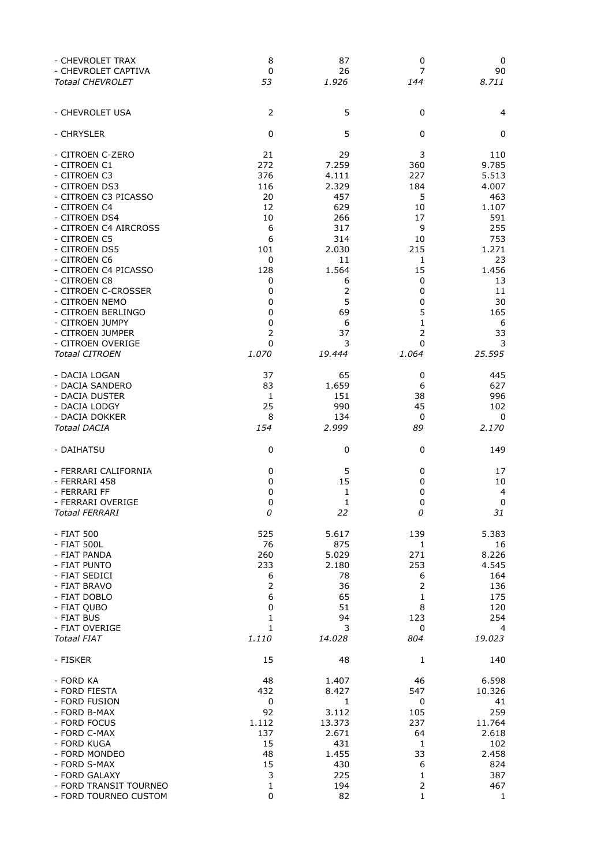| - CHEVROLET TRAX                      | 8              | 87           | 0              | 0           |
|---------------------------------------|----------------|--------------|----------------|-------------|
| - CHEVROLET CAPTIVA                   | 0              | 26           | 7              | 90          |
| <b>Totaal CHEVROLET</b>               | 53             | 1.926        | 144            | 8.711       |
| - CHEVROLET USA                       | $\overline{2}$ | 5            | $\mathbf 0$    | 4           |
| - CHRYSLER                            | 0              | 5            | 0              | 0           |
| - CITROEN C-ZERO                      | 21             | 29           | 3              | 110         |
| - CITROEN C1                          | 272            | 7.259        | 360            | 9.785       |
| - CITROEN C3                          | 376            | 4.111        | 227            | 5.513       |
| - CITROEN DS3                         | 116            | 2.329        | 184            | 4.007       |
| - CITROEN C3 PICASSO                  | 20             | 457          | 5              | 463         |
| - CITROEN C4                          | 12             | 629          | 10             | 1.107       |
| - CITROEN DS4                         | 10             | 266          | 17             | 591         |
| - CITROEN C4 AIRCROSS                 | 6              | 317          | 9              | 255         |
| - CITROEN C5                          | 6              | 314          | 10             | 753         |
| - CITROEN DS5                         | 101            | 2.030        | 215            | 1.271       |
| - CITROEN C6                          | 0              | 11           | 1              | 23          |
| - CITROEN C4 PICASSO                  | 128            | 1.564        | 15             | 1.456       |
| - CITROEN C8                          | 0              | 6            | 0              | 13          |
| - CITROEN C-CROSSER                   | 0              | 2            | 0              | 11          |
| - CITROEN NEMO                        | 0              | 5            | 0              | 30          |
| - CITROEN BERLINGO<br>- CITROEN JUMPY | 0              | 69           | 5              | 165         |
| - CITROEN JUMPER                      | 0              | 6            | 1              | 6           |
|                                       | 2              | 37           | 2              | 33          |
| - CITROEN OVERIGE                     | 0              | 3            | 0              | 3           |
| <b>Totaal CITROEN</b>                 | <i>1.070</i>   | 19.444       | 1.064          | 25.595      |
| - DACIA LOGAN                         | 37             | 65           | 0              | 445         |
| - DACIA SANDERO                       | 83             | 1.659        | 6              | 627         |
| - DACIA DUSTER                        | 1              | 151          | 38             | 996         |
| - DACIA LODGY                         | 25             | 990          | 45             | 102         |
| - DACIA DOKKER                        | 8              | 134          | $\mathbf 0$    | 0           |
| <b>Totaal DACIA</b>                   | 154            | 2.999        | 89             | 2.170       |
| - DAIHATSU                            | 0              | 0            | 0              | 149         |
| - FERRARI CALIFORNIA                  | 0              | 5            | 0              | 17          |
| - FERRARI 458                         | 0              | 15           | 0              | 10          |
| - FERRARI FF                          | 0              | 1            | 0              | 4           |
| - FERRARI OVERIGE                     | 0              | $\mathbf{1}$ | 0              | $\mathbf 0$ |
| Totaal FERRARI                        | 0              | 22           | 0              | 31          |
| - FIAT 500                            | 525            | 5.617        | 139            | 5.383       |
| - FIAT 500L                           | 76             | 875          | 1              | 16          |
| - FIAT PANDA                          | 260            | 5.029        | 271            | 8.226       |
| - FIAT PUNTO                          | 233            | 2.180        | 253            | 4.545       |
| - FIAT SEDICI                         | 6              | 78           | 6              | 164         |
| - FIAT BRAVO                          | 2              | 36           | $\overline{2}$ | 136         |
| - FIAT DOBLO                          | 6              | 65           | 1              | 175         |
| - FIAT QUBO                           | 0              | 51           | 8              | 120         |
| - FIAT BUS                            | 1              | 94           | 123            | 254         |
| - FIAT OVERIGE                        | 1              | 3            | 0              | 4           |
| Totaal FIAT                           | <i>1.110</i>   | 14.028       | 804            | 19.023      |
| - FISKER                              | 15             | 48           | 1              | 140         |
| - FORD KA                             | 48             | 1.407        | 46             | 6.598       |
| - FORD FIESTA                         | 432            | 8.427        | 547            | 10.326      |
| - FORD FUSION                         | 0              | 1            | 0              | 41          |
| - FORD B-MAX                          | 92             | 3.112        | 105            | 259         |
| - FORD FOCUS                          | 1.112          | 13.373       | 237            | 11.764      |
| - FORD C-MAX                          | 137            | 2.671        | 64             | 2.618       |
| - FORD KUGA                           | 15             | 431          | 1              | 102         |
| - FORD MONDEO                         | 48             | 1.455        | 33             | 2.458       |
| - FORD S-MAX                          | 15             | 430          | 6              | 824         |
| - FORD GALAXY                         | 3              | 225          | 1              | 387         |
| - FORD TRANSIT TOURNEO                | 1              | 194          | $\overline{2}$ | 467         |
| - FORD TOURNEO CUSTOM                 | 0              | 82           | 1              | 1           |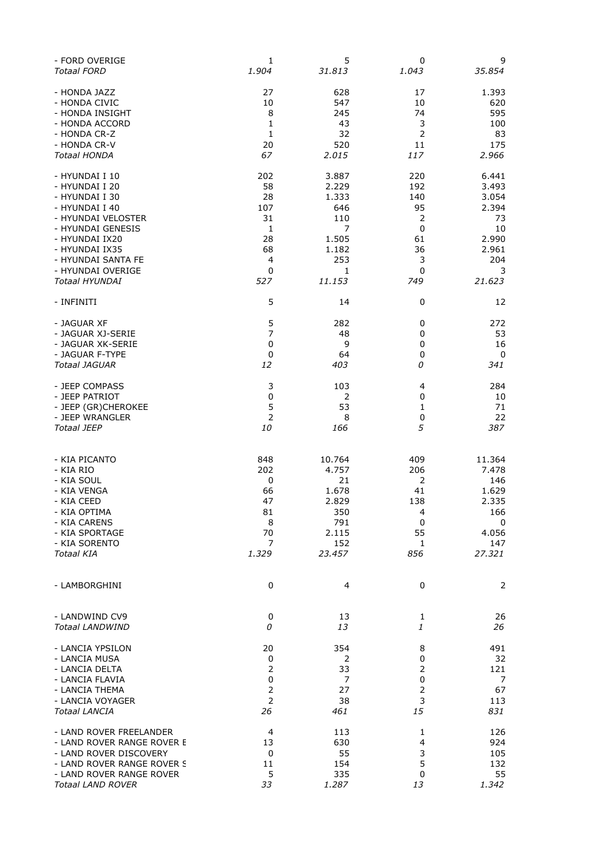| - FORD OVERIGE             | 1              | 5      | 0              | 9      |
|----------------------------|----------------|--------|----------------|--------|
| <b>Totaal FORD</b>         | 1.904          | 31.813 | 1.043          | 35.854 |
| - HONDA JAZZ               | 27             | 628    | 17             | 1.393  |
| - HONDA CIVIC              | 10             | 547    | 10             | 620    |
| - HONDA INSIGHT            | 8              | 245    | 74             | 595    |
| - HONDA ACCORD             | 1              | 43     | 3              | 100    |
| - HONDA CR-Z               | 1              | 32     | $\mathsf{2}\,$ | 83     |
| - HONDA CR-V               | 20             | 520    | 11             | 175    |
| Totaal HONDA               | 67             | 2.015  | 117            | 2.966  |
| - HYUNDAI I 10             | 202            | 3.887  | 220            | 6.441  |
| - HYUNDAI I 20             | 58             | 2.229  | 192            | 3.493  |
| - HYUNDAI I 30             | 28             | 1.333  | 140            | 3.054  |
| - HYUNDAI I 40             | 107            | 646    | 95             | 2.394  |
| - HYUNDAI VELOSTER         | 31             | 110    | $\mathsf{2}\,$ | 73     |
| - HYUNDAI GENESIS          | 1              | 7      | 0              | 10     |
| - HYUNDAI IX20             | 28             | 1.505  | 61             | 2.990  |
| - HYUNDAI IX35             | 68             | 1.182  | 36             | 2.961  |
| - HYUNDAI SANTA FE         | 4              | 253    | 3              | 204    |
| - HYUNDAI OVERIGE          | 0              | 1      | 0              | 3      |
| <b>Totaal HYUNDAI</b>      | 527            | 11.153 | 749            | 21.623 |
| - INFINITI                 | 5              | 14     | 0              | 12     |
| - JAGUAR XF                | 5              | 282    | 0              | 272    |
| - JAGUAR XJ-SERIE          | $\overline{7}$ | 48     | 0              | 53     |
| - JAGUAR XK-SERIE          | 0              | 9      | 0              | 16     |
| - JAGUAR F-TYPE            | $\pmb{0}$      | 64     | 0              | 0      |
| <b>Totaal JAGUAR</b>       | 12             | 403    | 0              | 341    |
| - JEEP COMPASS             | 3              | 103    | 4              | 284    |
| - JEEP PATRIOT             | 0              | 2      | 0              | 10     |
| - JEEP (GR)CHEROKEE        | 5              | 53     | 1              | 71     |
| - JEEP WRANGLER            | $\overline{2}$ | 8      | 0              | 22     |
| <b>Totaal JEEP</b>         | 10             | 166    | 5              | 387    |
| - KIA PICANTO              | 848            | 10.764 | 409            | 11.364 |
| - KIA RIO                  | 202            | 4.757  | 206            | 7.478  |
| - KIA SOUL                 | 0              | 21     | 2              | 146    |
| - KIA VENGA                | 66             | 1.678  | 41             | 1.629  |
| - KIA CEED                 | 47             | 2.829  | 138            | 2.335  |
| - KIA OPTIMA               | 81             | 350    | 4              | 166    |
| - KIA CARENS               | 8              | 791    | 0              | 0      |
| - KIA SPORTAGE             | 70             | 2.115  | 55             | 4.056  |
| - KIA SORENTO              | 7              | 152    | 1              | 147    |
| Totaal KIA                 | 1.329          | 23.457 | 856            | 27.321 |
| - LAMBORGHINI              | 0              | 4      | $\mathbf 0$    | 2      |
| - LANDWIND CV9             | 0              | 13     | $\mathbf{1}$   | 26     |
| <b>Totaal LANDWIND</b>     | 0              | 13     | 1              | 26     |
| - LANCIA YPSILON           | 20             | 354    | 8              | 491    |
| - LANCIA MUSA              | 0              | 2      | 0              | 32     |
| - LANCIA DELTA             | 2              | 33     | 2              | 121    |
| - LANCIA FLAVIA            | 0              | 7      | 0              | 7      |
| - LANCIA THEMA             | $\overline{2}$ | 27     | $\overline{2}$ | 67     |
| - LANCIA VOYAGER           | $\overline{2}$ | 38     | 3              | 113    |
| <b>Totaal LANCIA</b>       | 26             | 461    | 15             | 831    |
| - LAND ROVER FREELANDER    | 4              | 113    | 1              | 126    |
| - LAND ROVER RANGE ROVER E | 13             | 630    | 4              | 924    |
| - LAND ROVER DISCOVERY     | 0              | 55     | 3              | 105    |
| - LAND ROVER RANGE ROVER S | 11             | 154    | 5              | 132    |
| - LAND ROVER RANGE ROVER   | 5              | 335    | 0              | 55     |
| <b>Totaal LAND ROVER</b>   | 33             | 1.287  | 13             | 1.342  |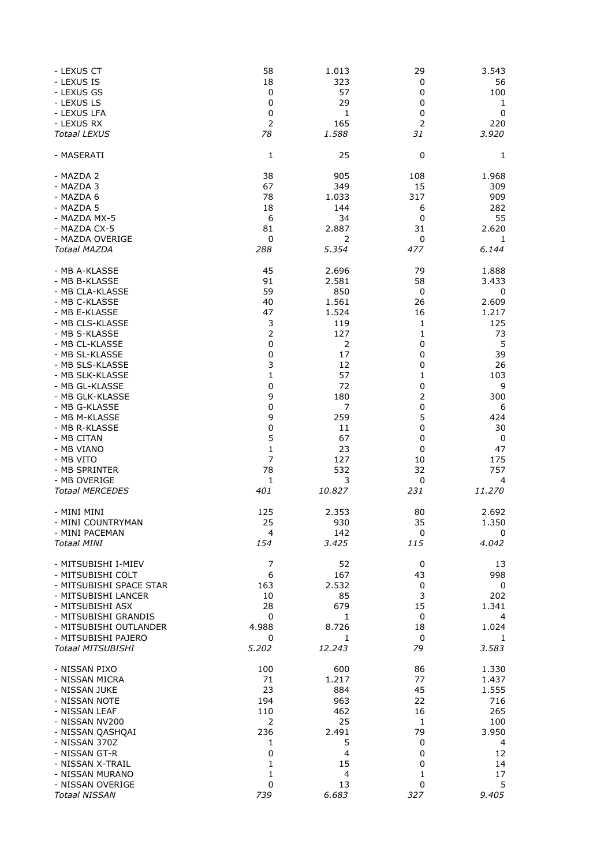| - LEXUS CT                                     | 58             | 1.013                | 29             | 3.543             |
|------------------------------------------------|----------------|----------------------|----------------|-------------------|
| - LEXUS IS                                     | 18             | 323                  | 0              | 56                |
| - LEXUS GS                                     | 0              | 57                   | 0              | 100               |
| - LEXUS LS<br>- LEXUS LFA                      | 0<br>0         | 29<br>1              | 0<br>0         | $\mathbf{1}$<br>0 |
| - LEXUS RX                                     | $\overline{2}$ | 165                  | $\overline{2}$ | 220               |
| <b>Totaal LEXUS</b>                            | 78             | 1.588                | 31             | 3.920             |
| - MASERATI                                     | 1              | 25                   | $\mathbf 0$    | 1                 |
| - MAZDA 2                                      | 38             | 905                  | 108            | 1.968             |
| - MAZDA 3                                      | 67             | 349                  | 15             | 309               |
| - MAZDA 6                                      | 78             | 1.033                | 317            | 909               |
| - MAZDA 5                                      | 18             | 144                  | 6              | 282               |
| - MAZDA MX-5                                   | 6              | 34                   | 0              | 55                |
| - MAZDA CX-5                                   | 81             | 2.887                | 31             | 2.620             |
| - MAZDA OVERIGE                                | 0              | 2                    | 0              | 1                 |
| <b>Totaal MAZDA</b>                            | 288            | 5.354                | 477            | 6.144             |
| - MB A-KLASSE                                  | 45             | 2.696                | 79             | 1.888             |
| - MB B-KLASSE                                  | 91             | 2.581                | 58             | 3.433             |
| - MB CLA-KLASSE                                | 59             | 850                  | $\pmb{0}$      | 0                 |
| - MB C-KLASSE                                  | 40             | 1.561                | 26             | 2.609             |
| - MB E-KLASSE                                  | 47             | 1.524                | 16             | 1.217             |
| - MB CLS-KLASSE                                | 3              | 119                  | 1              | 125               |
| - MB S-KLASSE                                  | $\overline{2}$ | 127                  | 1              | 73                |
| - MB CL-KLASSE<br>- MB SL-KLASSE               | 0              | $\overline{2}$<br>17 | 0              | 5                 |
| - MB SLS-KLASSE                                | $\pmb{0}$<br>3 | 12                   | 0<br>0         | 39<br>26          |
| - MB SLK-KLASSE                                | $\mathbf 1$    | 57                   | 1              | 103               |
| - MB GL-KLASSE                                 | 0              | 72                   | 0              | 9                 |
| - MB GLK-KLASSE                                | 9              | 180                  | 2              | 300               |
| - MB G-KLASSE                                  | 0              | 7                    | 0              | 6                 |
| - MB M-KLASSE                                  | 9              | 259                  | 5              | 424               |
| - MB R-KLASSE                                  | $\pmb{0}$      | 11                   | 0              | 30                |
| - MB CITAN                                     | 5              | 67                   | 0              | 0                 |
| - MB VIANO                                     | $\mathbf{1}$   | 23                   | 0              | 47                |
| - MB VITO<br>- MB SPRINTER                     | 7<br>78        | 127<br>532           | 10<br>32       | 175<br>757        |
| - MB OVERIGE                                   | 1              | 3                    | 0              | 4                 |
| <b>Totaal MERCEDES</b>                         | 401            | 10.827               | 231            | 11.270            |
|                                                |                |                      |                |                   |
| - MINI MINI                                    | 125            | 2.353                | 80             | 2.692             |
| - MINI COUNTRYMAN                              | 25             | 930                  | 35             | 1.350             |
| - MINI PACEMAN<br><b>Totaal MINI</b>           | 4<br>154       | 142<br>3.425         | 0<br>115       | 0<br>4.042        |
|                                                |                |                      |                |                   |
| - MITSUBISHI I-MIEV                            | 7              | 52                   | 0              | 13                |
| - MITSUBISHI COLT                              | 6              | 167                  | 43             | 998               |
| - MITSUBISHI SPACE STAR                        | 163            | 2.532                | 0              | 0                 |
| - MITSUBISHI LANCER                            | 10             | 85                   | 3              | 202               |
| - MITSUBISHI ASX                               | 28             | 679                  | 15             | 1.341             |
| - MITSUBISHI GRANDIS<br>- MITSUBISHI OUTLANDER | 0<br>4.988     | 1<br>8.726           | 0<br>18        | 4<br>1.024        |
| - MITSUBISHI PAJERO                            | 0              | $\mathbf{1}$         | 0              | 1                 |
| <b>Totaal MITSUBISHI</b>                       | 5.202          | 12.243               | 79             | 3.583             |
|                                                |                |                      |                |                   |
| - NISSAN PIXO                                  | 100            | 600                  | 86             | 1.330             |
| - NISSAN MICRA                                 | 71             | 1.217                | 77             | 1.437             |
| - NISSAN JUKE<br>- NISSAN NOTE                 | 23<br>194      | 884<br>963           | 45<br>22       | 1.555<br>716      |
| - NISSAN LEAF                                  | 110            | 462                  | 16             | 265               |
| - NISSAN NV200                                 | 2              | 25                   | 1              | 100               |
| - NISSAN QASHQAI                               | 236            | 2.491                | 79             | 3.950             |
| - NISSAN 370Z                                  | $\mathbf{1}$   | 5                    | 0              | $\overline{4}$    |
| - NISSAN GT-R                                  | $\mathbf 0$    | 4                    | 0              | 12                |
| - NISSAN X-TRAIL                               | 1              | 15                   | 0              | 14                |
| - NISSAN MURANO                                | 1              | 4                    | 1              | 17                |
| - NISSAN OVERIGE                               | 0              | 13                   | 0              | 5                 |
| <b>Totaal NISSAN</b>                           | 739            | 6.683                | 327            | 9.405             |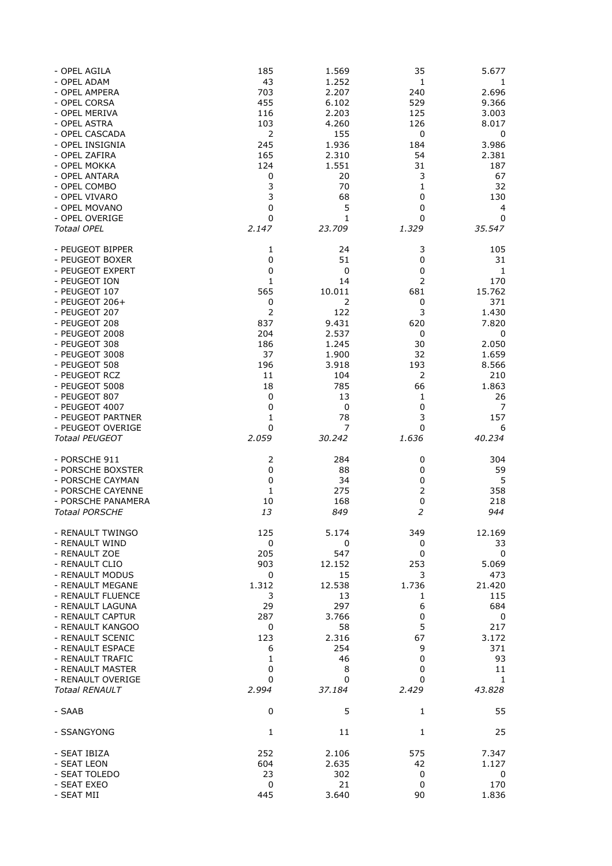| - OPEL AGILA                  | 185            | 1.569          | 35             | 5.677          |
|-------------------------------|----------------|----------------|----------------|----------------|
| - OPEL ADAM                   | 43             | 1.252          | 1              | 1              |
| - OPEL AMPERA                 | 703            | 2.207          | 240            | 2.696          |
| - OPEL CORSA                  | 455            | 6.102          | 529            | 9.366          |
| - OPEL MERIVA<br>- OPEL ASTRA | 116<br>103     | 2.203<br>4.260 | 125<br>126     | 3.003<br>8.017 |
| - OPEL CASCADA                | $\overline{2}$ | 155            | $\mathbf 0$    | 0              |
| - OPEL INSIGNIA               | 245            | 1.936          | 184            | 3.986          |
| - OPEL ZAFIRA                 | 165            | 2.310          | 54             | 2.381          |
| - OPEL MOKKA                  | 124            | 1.551          | 31             | 187            |
| - OPEL ANTARA                 | $\pmb{0}$      | 20             | 3              | 67             |
| - OPEL COMBO                  | 3              | 70             | 1              | 32             |
| - OPEL VIVARO                 | 3              | 68             | 0              | 130            |
| - OPEL MOVANO                 | 0              | 5              | 0              | 4              |
| - OPEL OVERIGE                | $\mathbf 0$    | 1              | 0              | 0              |
| <b>Totaal OPEL</b>            | 2.147          | 23.709         | 1.329          | 35.547         |
| - PEUGEOT BIPPER              | 1              | 24             | 3              | 105            |
| - PEUGEOT BOXER               | 0              | 51             | 0              | 31             |
| - PEUGEOT EXPERT              | 0              | 0              | 0              | $\mathbf{1}$   |
| - PEUGEOT ION                 | 1              | 14             | $\overline{2}$ | 170            |
| - PEUGEOT 107                 | 565            | 10.011         | 681            | 15.762         |
| $-$ PEUGEOT 206+              | 0              | 2              | 0              | 371            |
| - PEUGEOT 207                 | $\overline{2}$ | 122            | 3              | 1.430          |
| - PEUGEOT 208                 | 837            | 9.431          | 620            | 7.820          |
| - PEUGEOT 2008                | 204            | 2.537          | 0              | 0              |
| - PEUGEOT 308                 | 186            | 1.245          | 30             | 2.050          |
| - PEUGEOT 3008                | 37             | 1.900          | 32             | 1.659          |
| - PEUGEOT 508                 | 196            | 3.918          | 193            | 8.566          |
| - PEUGEOT RCZ                 | 11             | 104            | $\overline{2}$ | 210            |
| - PEUGEOT 5008                | 18             | 785            | 66             | 1.863          |
| - PEUGEOT 807                 | 0              | 13             | 1              | 26             |
| - PEUGEOT 4007                | $\mathbf 0$    | 0              | 0              | 7              |
| - PEUGEOT PARTNER             | 1              | 78             | 3              | 157            |
| - PEUGEOT OVERIGE             | 0              | 7              | 0              | 6              |
| <b>Totaal PEUGEOT</b>         | 2.059          | 30.242         | 1.636          | 40.234         |
| - PORSCHE 911                 | 2              | 284            | 0              | 304            |
| - PORSCHE BOXSTER             | $\mathbf 0$    | 88             | 0              | 59             |
| - PORSCHE CAYMAN              | $\mathbf 0$    | 34             | 0              | 5              |
| - PORSCHE CAYENNE             | 1              | 275            | $\mathbf 2$    | 358            |
| - PORSCHE PANAMERA            | 10             | 168            | $\pmb{0}$      | 218            |
| <b>Totaal PORSCHE</b>         | 13             | 849            | $\overline{2}$ | 944            |
| - RENAULT TWINGO              | 125            | 5.174          | 349            | 12.169         |
| - RENAULT WIND                | $\mathbf 0$    | 0              | 0              | 33             |
| - RENAULT ZOE                 | 205            | 547            | 0              | 0              |
| - RENAULT CLIO                | 903            | 12.152         | 253            | 5.069          |
| - RENAULT MODUS               | 0              | 15             | 3              | 473            |
| - RENAULT MEGANE              | 1.312          | 12.538         | 1.736          | 21.420         |
| - RENAULT FLUENCE             | 3              | 13             | 1              | 115            |
| - RENAULT LAGUNA              | 29             | 297            | 6              | 684            |
| - RENAULT CAPTUR              | 287            | 3.766          | 0              | 0              |
| - RENAULT KANGOO              | $\mathbf 0$    | 58             | 5              | 217            |
| - RENAULT SCENIC              | 123            | 2.316          | 67             | 3.172          |
| - RENAULT ESPACE              | 6              | 254            | 9              | 371            |
| - RENAULT TRAFIC              | 1              | 46             | $\mathbf 0$    | 93             |
| - RENAULT MASTER              | 0              | 8              | $\mathbf 0$    | 11             |
| - RENAULT OVERIGE             | 0              | 0              | 0              | 1              |
| <b>Totaal RENAULT</b>         | 2.994          | 37.184         | 2.429          | 43.828         |
| - SAAB                        | $\mathbf 0$    | 5              | 1              | 55             |
| - SSANGYONG                   | $\mathbf{1}$   | 11             | $\mathbf{1}$   | 25             |
| - SEAT IBIZA                  | 252            | 2.106          | 575            | 7.347          |
| - SEAT LEON                   | 604            | 2.635          | 42             | 1.127          |
| - SEAT TOLEDO                 | 23             | 302            | 0              | 0              |
| - SEAT EXEO                   | $\pmb{0}$      | 21             | $\mathbf 0$    | 170            |
| - SEAT MII                    | 445            | 3.640          | 90             | 1.836          |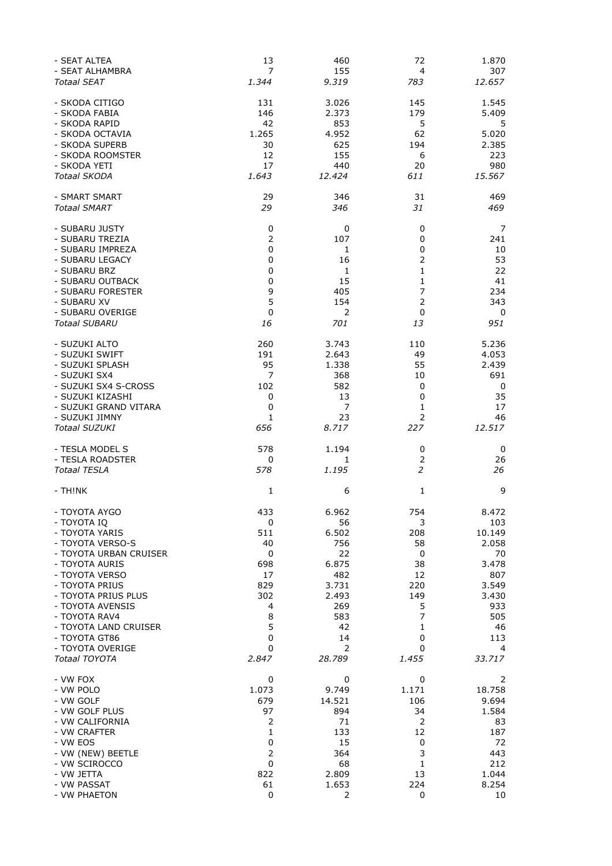| - SEAT ALTEA                         | 13        | 460            | 72             | 1.870          |
|--------------------------------------|-----------|----------------|----------------|----------------|
| - SEAT ALHAMBRA                      | 7         | 155            | 4              | 307            |
| Totaal SEAT                          | 1.344     | 9.319          | 783            | 12.657         |
| - SKODA CITIGO                       | 131       | 3.026          | 145            | 1.545          |
| - SKODA FABIA                        | 146       | 2.373          | 179            | 5.409          |
| - SKODA RAPID                        | 42        | 853            | 5              | 5              |
| - SKODA OCTAVIA                      | 1.265     | 4.952          | 62             | 5.020          |
| - SKODA SUPERB                       | 30        | 625            | 194            | 2.385          |
| - SKODA ROOMSTER                     | 12        | 155            | 6              | 223            |
| - SKODA YETI                         | 17        | 440            | 20             | 980            |
| <b>Totaal SKODA</b>                  | 1.643     | 12.424         | 611            | 15.567         |
| - SMART SMART                        | 29        | 346            | 31             | 469            |
| <b>Totaal SMART</b>                  | 29        | 346            | 31             | 469            |
| - SUBARU JUSTY                       | 0         | 0              | 0              | 7              |
| - SUBARU TREZIA                      | 2         | 107            | 0              | 241            |
| - SUBARU IMPREZA                     | 0         | 1              | 0              | 10             |
| - SUBARU LEGACY                      | 0         | 16             | 2              | 53             |
| - SUBARU BRZ                         | 0         | 1              | $\mathbf{1}$   | 22             |
| - SUBARU OUTBACK                     | 0         | 15             | 1              | 41             |
| - SUBARU FORESTER                    | 9         | 405            | 7              | 234            |
| - SUBARU XV                          | 5         | 154            | $\overline{2}$ | 343            |
| - SUBARU OVERIGE                     | 0         | $\overline{2}$ | 0              | 0              |
| Totaal SUBARU                        | 16        | 701            | 13             | 951            |
| - SUZUKI ALTO                        | 260       | 3.743          | 110            | 5.236          |
|                                      | 191       | 2.643          | 49             | 4.053          |
| - SUZUKI SWIFT                       |           |                |                |                |
| - SUZUKI SPLASH                      | 95<br>7   | 1.338<br>368   | 55             | 2.439<br>691   |
| - SUZUKI SX4<br>- SUZUKI SX4 S-CROSS | 102       | 582            | 10             |                |
|                                      |           |                | 0              | 0              |
| - SUZUKI KIZASHI                     | 0         | 13             | 0              | 35             |
| - SUZUKI GRAND VITARA                | 0         | $\overline{7}$ | 1              | 17             |
| - SUZUKI JIMNY                       | 1         | 23             | $\overline{2}$ | 46             |
| <b>Totaal SUZUKI</b>                 | 656       | 8.717          | 227            | 12.517         |
| - TESLA MODEL S                      | 578       | 1.194          | 0              | 0              |
| - TESLA ROADSTER                     | 0         | 1              | 2              | 26             |
| Totaal TESLA                         | 578       | 1.195          | 2              | 26             |
| - TH!NK                              | 1         | 6              | 1              | 9              |
| - TOYOTA AYGO                        | 433       | 6.962          | 754            | 8.472          |
| - TOYOTA IQ                          | 0         | 56             | 3              | 103            |
| - TOYOTA YARIS                       | 511       | 6.502          | 208            | 10.149         |
| - TOYOTA VERSO-S                     | 40        | 756            | 58             | 2.058          |
| - TOYOTA URBAN CRUISER               | 0         | 22             | 0              | 70             |
| - TOYOTA AURIS                       | 698       | 6.875          | 38             | 3.478          |
| - TOYOTA VERSO                       | 17        | 482            | 12             | 807            |
| - TOYOTA PRIUS                       | 829       | 3.731          | 220            | 3.549          |
| - TOYOTA PRIUS PLUS                  | 302       | 2.493          | 149            | 3.430          |
| - TOYOTA AVENSIS                     | 4         | 269            | 5              | 933            |
| - TOYOTA RAV4                        | 8         | 583            | 7              | 505            |
| - TOYOTA LAND CRUISER                | 5         | 42             | 1              | 46             |
| - TOYOTA GT86                        | 0         | 14             | 0              | 113            |
| - TOYOTA OVERIGE                     | 0         | 2              | 0              | 4              |
| Totaal TOYOTA                        | 2.847     | 28.789         | 1.455          | 33.717         |
|                                      |           |                |                |                |
|                                      |           |                |                |                |
| - VW FOX                             | 0         | 0              | 0              | 2              |
| - VW POLO                            | 1.073     | 9.749          | 1.171          | 18.758         |
| - VW GOLF                            | 679       | 14.521         | 106            | 9.694          |
| - VW GOLF PLUS                       | 97        | 894            | 34             | 1.584          |
| - VW CALIFORNIA                      | 2         | 71             | 2              | 83             |
| - VW CRAFTER                         | 1         | 133            | 12             | 187            |
| - VW EOS                             | 0         | 15             | 0              | 72             |
| - VW (NEW) BEETLE                    | 2         | 364            | 3              | 443            |
| - VW SCIROCCO                        | $\pmb{0}$ | 68             | 1              | 212            |
| - VW JETTA<br>- VW PASSAT            | 822<br>61 | 2.809<br>1.653 | 13<br>224      | 1.044<br>8.254 |